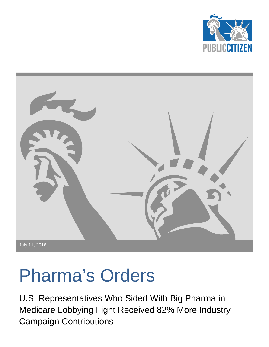



# <span id="page-0-0"></span>Pharma's Orders

U.S. Representatives Who Sided With Big Pharma in Medicare Lobbying Fight Received 82% More Industry Campaign Contributions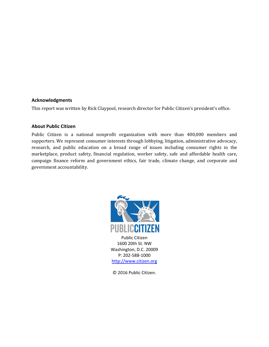#### **Acknowledgments**

This report was written by Rick Claypool, research director for Public Citizen's president's office.

#### **About Public Citizen**

Public Citizen is a national nonprofit organization with more than 400,000 members and supporters. We represent consumer interests through lobbying, litigation, administrative advocacy, research, and public education on a broad range of issues including consumer rights in the marketplace, product safety, financial regulation, worker safety, safe and affordable health care, campaign finance reform and government ethics, fair trade, climate change, and corporate and government accountability.



[http://www.citizen.org](http://www.citizen.org/)

© 2016 Public Citizen.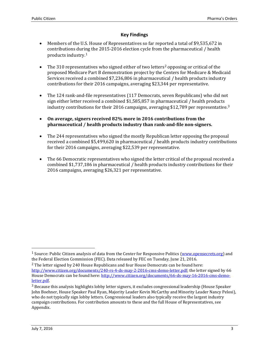## **Key Findings**

- Members of the U.S. House of Representatives so far reported a total of \$9,535,672 in contributions duri[n](#page-0-0)g the 2015-2016 election cycle from the pharmaceutical / health products industry.<sup>1</sup>
- The 310 representatives who signed either of two letters<sup>2</sup> opposing or critical of the proposed Medicare Part B demonstration project by the [Ce](#page-2-0)nters for Medicare & Medicaid Services received a combined \$7,236,806 in pharmaceutical / health products industry contributions for their 2016 campaigns, averaging \$23,344 per representative.
- The 124 rank-and-file representatives (117 Democrats, seven Republicans) who did not sign either letter received a combined \$1,585,857 in pharmaceutical / health products industry contributions for their 2016 campaigns, averaging \$12,789 per representative.<sup>[3](#page-2-1)</sup>
- **On average, signers received 82% more in 2016 contributions from the pharmaceutical / health products industry than rank-and-file non-signers.**
- The 244 representatives who signed the mostly Republican letter opposing the proposal received a combined \$5,499,620 in pharmaceutical / health products industry contributions for their 2016 campaigns, averaging \$22,539 per representative.
- The 66 Democratic representatives who signed the letter critical of the proposal received a combined \$1,737,186 in pharmaceutical / health products industry contributions for their 2016 campaigns, averaging \$26,321 per representative.

<sup>&</sup>lt;sup>1</sup> Source: Public Citizen analysis of data from the Center for Responsive Politics [\(www.opensecrets.org\)](http://www.opensecrets.org/) and the Federal Election Commission (FEC). Data released by FEC on Tuesday, June 21, 2016.

<span id="page-2-2"></span><span id="page-2-0"></span><sup>2</sup> The letter signed by 240 House Republicans and four House Democrats can be found here: [http://www.citizen.org/documents/240-rs-4-ds-may-2-2016-cms-demo-letter.pdf;](http://www.citizen.org/documents/240-rs-4-ds-may-2-2016-cms-demo-letter.pdf) the letter signed by 66 House Democrats can be found here: [http://www.citizen.org/documents/66-ds-may-16-2016-cms-demo](http://www.citizen.org/documents/66-ds-may-16-2016-cms-demo-letter.pdf)[letter.pdf.](http://www.citizen.org/documents/66-ds-may-16-2016-cms-demo-letter.pdf)

<span id="page-2-1"></span><sup>&</sup>lt;sup>3</sup> Because this analysis highlights lobby letter signers, it excludes congressional leadership (House Speaker John Boehner, House Speaker Paul Ryan, Majority Leader Kevin McCarthy and Minority Leader Nancy Pelosi), who do not typically sign lobby letters. Congressional leaders also typically receive the largest industry campaign contributions. For contribution amounts to these and the full House of Representatives, see Appendix.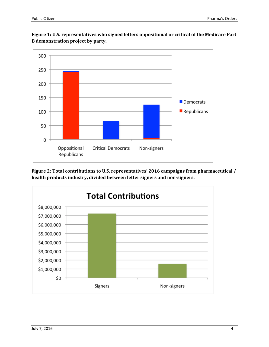

**Figure 1: U.S. representatives who signed letters oppositional or critical of the Medicare Part B demonstration project by party.**

**Figure 2: Total contributions to U.S. representatives' 2016 campaigns from pharmaceutical / health products industry, divided between letter signers and non-signers.** 

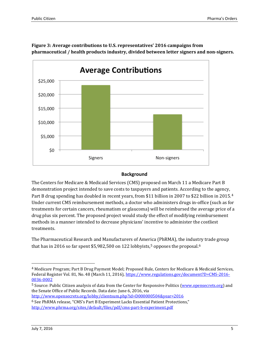

**Figure 3: Average contributions to U.S. representatives' 2016 campaigns from pharmaceutical / health products industry, divided between letter signers and non-signers.**

### **Background**

The Centers for Medicare & Medicaid Services (CMS) proposed on March 11 a Medicare Part B demonstration project intended to save costs to taxpayers and patients. According to the agency, Part B drug spending has doubled in recent years, from \$11 billion in 2007 to \$22 billion in 2015.<sup>4</sup> Under current CMS reimbursement methods, a doctor who administers drugs in-office (such as f[or](#page-2-2) treatments for certain cancers, rheumatism or glaucoma) will be reimbursed the average price of a drug plus six percent. The proposed project would study the effect of modifying reimbursement methods in a manner intended to decrease physicians' incentive to administer the costliest treatments.

The Pharmaceutical Research and Manufacturers of Amer[ic](#page-4-0)a (PhRMA), the indus[tr](#page-4-1)y trade group that has in 2016 so far spent \$5,982,500 on 122 lobbyists,<sup>5</sup> opposes the proposal.<sup>6</sup>

 <sup>4</sup> Medicare Program; Part B Drug Payment Model; Proposed Rule, Centers for Medicare & Medicaid Services, Federal Register Vol. 81, No. 48 (March 11, 2016)[, https://www.regulations.gov/document?D=CMS-2016-](https://www.regulations.gov/document?D=CMS-2016-0036-0002) [0036-0002](https://www.regulations.gov/document?D=CMS-2016-0036-0002)

<span id="page-4-0"></span><sup>&</sup>lt;sup>5</sup> Source: Public Citizen analysis of data from the Center for Responsive Politics [\(www.opensecrets.org\)](http://www.opensecrets.org/) and the Senate Office of Public Records. Data date: June 6, 2016, via <http://www.opensecrets.org/lobby/clientsum.php?id=D000000504&year=2016>

<span id="page-4-1"></span><sup>6</sup> See PhRMA release, "CMS's Part B Experiment Lacks Essential Patient Protections," <http://www.phrma.org/sites/default/files/pdf/cms-part-b-experiment.pdf>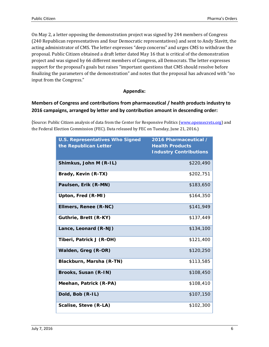On May 2, a letter opposing the demonstration project was signed by 244 members of Congress (240 Republican representatives and four Democratic representatives) and sent to Andy Slavitt, the acting administrator of CMS. The letter expresses "deep concerns" and urges CMS to withdraw the proposal. Public Citizen obtained a draft letter dated May 16 that is critical of the demonstration project and was signed by 66 different members of Congress, all Democrats. The letter expresses support for the proposal's goals but raises "important questions that CMS should resolve before finalizing the parameters of the demonstration" and notes that the proposal has advanced with "no input from the Congress."

#### **Appendix:**

## **Members of Congress and contributions from pharmaceutical / health products industry to 2016 campaigns, arranged by letter and by contribution amount in descending order:**

(Source: Public Citizen analysis of data from the Center for Responsive Politics [\(www.opensecrets.org\)](http://www.opensecrets.org/) and the Federal Election Commission (FEC). Data released by FEC on Tuesday, June 21, 2016.)

| <b>U.S. Representatives Who Signed</b><br>the Republican Letter | 2016 Pharmaceutical /<br><b>Health Products</b><br><b>Industry Contributions</b> |
|-----------------------------------------------------------------|----------------------------------------------------------------------------------|
| Shimkus, John M (R-IL)                                          | \$220,490                                                                        |
| Brady, Kevin (R-TX)                                             | \$202,751                                                                        |
| Paulsen, Erik (R-MN)                                            | \$183,650                                                                        |
| Upton, Fred (R-MI)                                              | \$164,350                                                                        |
| Ellmers, Renee (R-NC)                                           | \$141,949                                                                        |
| Guthrie, Brett (R-KY)                                           | \$137,449                                                                        |
| Lance, Leonard (R-NJ)                                           | \$134,100                                                                        |
| Tiberi, Patrick J (R-OH)                                        | \$121,400                                                                        |
| Walden, Greg (R-OR)                                             | \$120,250                                                                        |
| Blackburn, Marsha (R-TN)                                        | \$113,585                                                                        |
| Brooks, Susan (R-IN)                                            | \$108,450                                                                        |
| Meehan, Patrick (R-PA)                                          | \$108,410                                                                        |
| Dold, Bob (R-IL)                                                | \$107,150                                                                        |
| Scalise, Steve (R-LA)                                           | \$102,300                                                                        |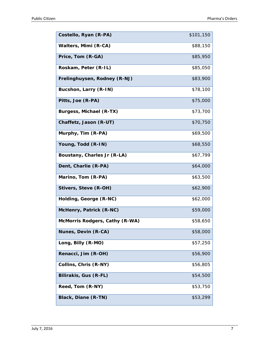| Costello, Ryan (R-PA)          | \$101,150 |
|--------------------------------|-----------|
| Walters, Mimi (R-CA)           | \$88,150  |
| Price, Tom (R-GA)              | \$85,950  |
| Roskam, Peter (R-IL)           | \$85,050  |
| Frelinghuysen, Rodney (R-NJ)   | \$83,900  |
| Bucshon, Larry (R-IN)          | \$78,100  |
| Pitts, Joe (R-PA)              | \$75,000  |
| Burgess, Michael (R-TX)        | \$73,700  |
| Chaffetz, Jason (R-UT)         | \$70,750  |
| Murphy, Tim (R-PA)             | \$69,500  |
| Young, Todd (R-IN)             | \$68,550  |
| Boustany, Charles Jr (R-LA)    | \$67,799  |
| Dent, Charlie (R-PA)           | \$64,000  |
| Marino, Tom (R-PA)             | \$63,500  |
| Stivers, Steve (R-OH)          | \$62,900  |
| Holding, George (R-NC)         | \$62,000  |
| McHenry, Patrick (R-NC)        | \$59,000  |
| McMorris Rodgers, Cathy (R-WA) | \$58,650  |
| Nunes, Devin (R-CA)            | \$58,000  |
| Long, Billy (R-MO)             | \$57,250  |
| Renacci, Jim (R-OH)            | \$56,900  |
| Collins, Chris (R-NY)          | \$56,805  |
| Bilirakis, Gus (R-FL)          | \$54,500  |
| Reed, Tom (R-NY)               | \$53,750  |
| Black, Diane (R-TN)            | \$53,299  |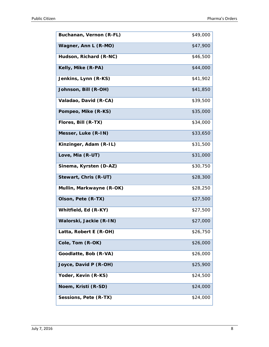| Buchanan, Vernon (R-FL)  | \$49,000 |
|--------------------------|----------|
| Wagner, Ann L (R-MO)     | \$47,900 |
| Hudson, Richard (R-NC)   | \$46,500 |
| Kelly, Mike (R-PA)       | \$44,000 |
| Jenkins, Lynn (R-KS)     | \$41,902 |
| Johnson, Bill (R-OH)     | \$41,850 |
| Valadao, David (R-CA)    | \$39,500 |
| Pompeo, Mike (R-KS)      | \$35,000 |
| Flores, Bill (R-TX)      | \$34,000 |
| Messer, Luke (R-IN)      | \$33,650 |
| Kinzinger, Adam (R-IL)   | \$31,500 |
| Love, Mia (R-UT)         | \$31,000 |
| Sinema, Kyrsten (D-AZ)   | \$30,750 |
| Stewart, Chris (R-UT)    | \$28,300 |
| Mullin, Markwayne (R-OK) | \$28,250 |
| Olson, Pete (R-TX)       | \$27,500 |
| Whitfield, Ed (R-KY)     | \$27,500 |
| Walorski, Jackie (R-IN)  | \$27,000 |
| Latta, Robert E (R-OH)   | \$26,750 |
| Cole, Tom (R-OK)         | \$26,000 |
| Goodlatte, Bob (R-VA)    | \$26,000 |
| Joyce, David P (R-OH)    | \$25,900 |
| Yoder, Kevin (R-KS)      | \$24,500 |
| Noem, Kristi (R-SD)      | \$24,000 |
| Sessions, Pete (R-TX)    | \$24,000 |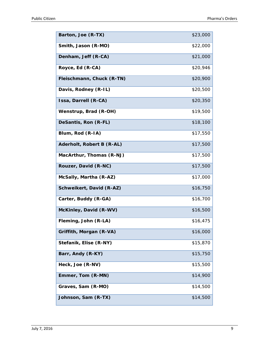| Barton, Joe (R-TX)        | \$23,000 |
|---------------------------|----------|
| Smith, Jason (R-MO)       | \$22,000 |
| Denham, Jeff (R-CA)       | \$21,000 |
| Royce, Ed (R-CA)          | \$20,946 |
| Fleischmann, Chuck (R-TN) | \$20,900 |
| Davis, Rodney (R-IL)      | \$20,500 |
| Issa, Darrell (R-CA)      | \$20,350 |
| Wenstrup, Brad (R-OH)     | \$19,500 |
| DeSantis, Ron (R-FL)      | \$18,100 |
| Blum, Rod (R-IA)          | \$17,550 |
| Aderholt, Robert B (R-AL) | \$17,500 |
| MacArthur, Thomas (R-NJ)  | \$17,500 |
| Rouzer, David (R-NC)      | \$17,500 |
| McSally, Martha (R-AZ)    | \$17,000 |
| Schweikert, David (R-AZ)  | \$16,750 |
| Carter, Buddy (R-GA)      | \$16,700 |
| McKinley, David (R-WV)    | \$16,500 |
| Fleming, John (R-LA)      | \$16,475 |
| Griffith, Morgan (R-VA)   | \$16,000 |
| Stefanik, Elise (R-NY)    | \$15,870 |
| Barr, Andy (R-KY)         | \$15,750 |
| Heck, Joe (R-NV)          | \$15,500 |
| Emmer, Tom (R-MN)         | \$14,900 |
| Graves, Sam (R-MO)        | \$14,500 |
| Johnson, Sam (R-TX)       | \$14,500 |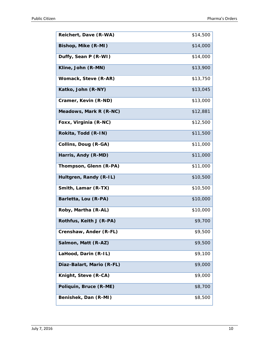| Reichert, Dave (R-WA)     | \$14,500 |
|---------------------------|----------|
| Bishop, Mike (R-MI)       | \$14,000 |
| Duffy, Sean P (R-WI)      | \$14,000 |
| Kline, John (R-MN)        | \$13,900 |
| Womack, Steve (R-AR)      | \$13,750 |
| Katko, John (R-NY)        | \$13,045 |
| Cramer, Kevin (R-ND)      | \$13,000 |
| Meadows, Mark R (R-NC)    | \$12,881 |
| Foxx, Virginia (R-NC)     | \$12,500 |
| Rokita, Todd (R-IN)       | \$11,500 |
| Collins, Doug (R-GA)      | \$11,000 |
| Harris, Andy (R-MD)       | \$11,000 |
| Thompson, Glenn (R-PA)    | \$11,000 |
| Hultgren, Randy (R-IL)    | \$10,500 |
| Smith, Lamar (R-TX)       | \$10,500 |
| Barletta, Lou (R-PA)      | \$10,000 |
| Roby, Martha (R-AL)       | \$10,000 |
| Rothfus, Keith J (R-PA)   | \$9,700  |
| Crenshaw, Ander (R-FL)    | \$9,500  |
| Salmon, Matt (R-AZ)       | \$9,500  |
| LaHood, Darin (R-IL)      | \$9,100  |
| Diaz-Balart, Mario (R-FL) | \$9,000  |
| Knight, Steve (R-CA)      | \$9,000  |
| Poliquin, Bruce (R-ME)    | \$8,700  |
| Benishek, Dan (R-MI)      | \$8,500  |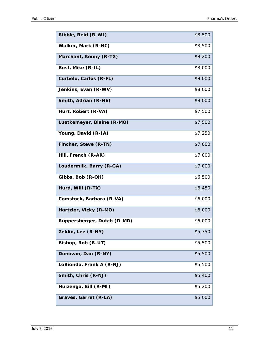| Ribble, Reid (R-WI)         | \$8,500 |
|-----------------------------|---------|
| Walker, Mark (R-NC)         | \$8,500 |
| Marchant, Kenny (R-TX)      | \$8,200 |
| Bost, Mike (R-IL)           | \$8,000 |
| Curbelo, Carlos (R-FL)      | \$8,000 |
| Jenkins, Evan (R-WV)        | \$8,000 |
| Smith, Adrian (R-NE)        | \$8,000 |
| Hurt, Robert (R-VA)         | \$7,500 |
| Luetkemeyer, Blaine (R-MO)  | \$7,500 |
| Young, David (R-IA)         | \$7,250 |
| Fincher, Steve (R-TN)       | \$7,000 |
| Hill, French (R-AR)         | \$7,000 |
| Loudermilk, Barry (R-GA)    | \$7,000 |
| Gibbs, Bob (R-OH)           | \$6,500 |
| Hurd, Will (R-TX)           | \$6,450 |
| Comstock, Barbara (R-VA)    | \$6,000 |
| Hartzler, Vicky (R-MO)      | \$6,000 |
| Ruppersberger, Dutch (D-MD) | \$6,000 |
| Zeldin, Lee (R-NY)          | \$5,750 |
| Bishop, Rob (R-UT)          | \$5,500 |
| Donovan, Dan (R-NY)         | \$5,500 |
| LoBiondo, Frank A (R-NJ)    | \$5,500 |
| Smith, Chris (R-NJ)         | \$5,400 |
| Huizenga, Bill (R-MI)       | \$5,200 |
| Graves, Garret (R-LA)       | \$5,000 |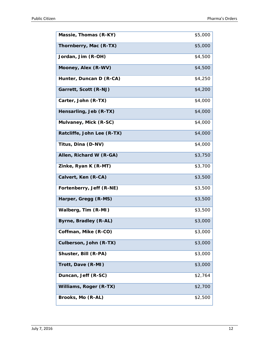| Massie, Thomas (R-KY)      | \$5,000 |
|----------------------------|---------|
| Thornberry, Mac (R-TX)     | \$5,000 |
| Jordan, Jim (R-OH)         | \$4,500 |
| Mooney, Alex (R-WV)        | \$4,500 |
| Hunter, Duncan D (R-CA)    | \$4,250 |
| Garrett, Scott (R-NJ)      | \$4,200 |
| Carter, John (R-TX)        | \$4,000 |
| Hensarling, Jeb (R-TX)     | \$4,000 |
| Mulvaney, Mick (R-SC)      | \$4,000 |
| Ratcliffe, John Lee (R-TX) | \$4,000 |
| Titus, Dina (D-NV)         | \$4,000 |
| Allen, Richard W (R-GA)    | \$3,750 |
| Zinke, Ryan K (R-MT)       | \$3,700 |
| Calvert, Ken (R-CA)        | \$3,500 |
| Fortenberry, Jeff (R-NE)   | \$3,500 |
| Harper, Gregg (R-MS)       | \$3,500 |
| Walberg, Tim (R-MI)        | \$3,500 |
| Byrne, Bradley (R-AL)      | \$3,000 |
| Coffman, Mike (R-CO)       | \$3,000 |
| Culberson, John (R-TX)     | \$3,000 |
| Shuster, Bill (R-PA)       | \$3,000 |
| Trott, Dave (R-MI)         | \$3,000 |
| Duncan, Jeff (R-SC)        | \$2,764 |
| Williams, Roger (R-TX)     | \$2,700 |
| Brooks, Mo (R-AL)          | \$2,500 |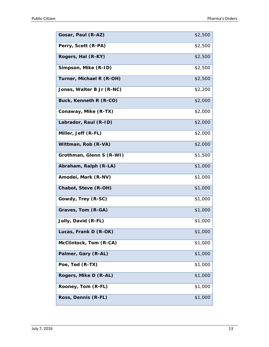| Gosar, Paul (R-AZ)        | \$2,500 |
|---------------------------|---------|
| Perry, Scott (R-PA)       | \$2,500 |
| Rogers, Hal (R-KY)        | \$2,500 |
| Simpson, Mike (R-ID)      | \$2,500 |
| Turner, Michael R (R-OH)  | \$2,500 |
| Jones, Walter B Jr (R-NC) | \$2,200 |
| Buck, Kenneth R (R-CO)    | \$2,000 |
| Conaway, Mike (R-TX)      | \$2,000 |
| Labrador, Raul (R-ID)     | \$2,000 |
| Miller, Jeff (R-FL)       | \$2,000 |
| Wittman, Rob (R-VA)       | \$2,000 |
| Grothman, Glenn S (R-WI)  | \$1,500 |
| Abraham, Ralph (R-LA)     | \$1,000 |
| Amodei, Mark (R-NV)       | \$1,000 |
| Chabot, Steve (R-OH)      | \$1,000 |
| Gowdy, Trey (R-SC)        | \$1,000 |
| Graves, Tom (R-GA)        | \$1,000 |
| Jolly, David (R-FL)       | \$1,000 |
| Lucas, Frank D (R-OK)     | \$1,000 |
| McClintock, Tom (R-CA)    | \$1,000 |
| Palmer, Gary (R-AL)       | \$1,000 |
| Poe, Ted (R-TX)           | \$1,000 |
| Rogers, Mike D (R-AL)     | \$1,000 |
| Rooney, Tom (R-FL)        | \$1,000 |
| Ross, Dennis (R-FL)       | \$1,000 |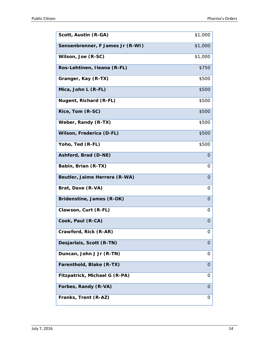| Scott, Austin (R-GA)             | \$1,000      |
|----------------------------------|--------------|
| Sensenbrenner, F James Jr (R-WI) | \$1,000      |
| Wilson, Joe (R-SC)               | \$1,000      |
| Ros-Lehtinen, Ileana (R-FL)      | \$750        |
| Granger, Kay (R-TX)              | \$500        |
| Mica, John L (R-FL)              | \$500        |
| Nugent, Richard (R-FL)           | \$500        |
| Rice, Tom (R-SC)                 | \$500        |
| Weber, Randy (R-TX)              | \$500        |
| Wilson, Frederica (D-FL)         | \$500        |
| Yoho, Ted (R-FL)                 | \$500        |
| Ashford, Brad (D-NE)             | $\Omega$     |
| Babin, Brian (R-TX)              | 0            |
| Beutler, Jaime Herrera (R-WA)    | $\mathbf{O}$ |
| Brat, Dave (R-VA)                | 0            |
| Bridenstine, James (R-OK)        | 0            |
| Clawson, Curt (R-FL)             | 0            |
| Cook, Paul (R-CA)                | 0            |
| Crawford, Rick (R-AR)            | 0            |
| Desjarlais, Scott (R-TN)         | $\Omega$     |
| Duncan, John J Jr (R-TN)         | 0            |
| Farenthold, Blake (R-TX)         | 0            |
| Fitzpatrick, Michael G (R-PA)    | Ő            |
| Forbes, Randy (R-VA)             | 0            |
| Franks, Trent (R-AZ)             | 0            |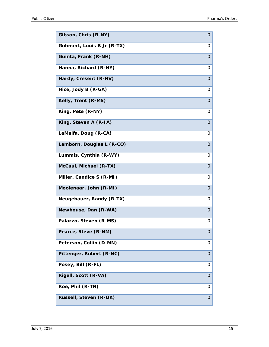| Gibson, Chris (R-NY)       | $\overline{O}$ |
|----------------------------|----------------|
| Gohmert, Louis B Jr (R-TX) | 0              |
| Guinta, Frank (R-NH)       | $\Omega$       |
| Hanna, Richard (R-NY)      | 0              |
| Hardy, Cresent (R-NV)      | $\Omega$       |
| Hice, Jody B (R-GA)        | 0              |
| Kelly, Trent (R-MS)        | $\overline{O}$ |
| King, Pete (R-NY)          | 0              |
| King, Steven A (R-IA)      | $\Omega$       |
| LaMalfa, Doug (R-CA)       | 0              |
| Lamborn, Douglas L (R-CO)  | $\Omega$       |
| Lummis, Cynthia (R-WY)     | 0              |
| McCaul, Michael (R-TX)     | $\mathbf 0$    |
| Miller, Candice S (R-MI)   | 0              |
| Moolenaar, John (R-MI)     | $\Omega$       |
| Neugebauer, Randy (R-TX)   | 0              |
| Newhouse, Dan (R-WA)       | $\Omega$       |
| Palazzo, Steven (R-MS)     | 0              |
| Pearce, Steve (R-NM)       | $\overline{O}$ |
| Peterson, Collin (D-MN)    | 0              |
| Pittenger, Robert (R-NC)   | $\mathbf 0$    |
| Posey, Bill (R-FL)         | 0              |
| Rigell, Scott (R-VA)       | $\Omega$       |
| Roe, Phil (R-TN)           | 0              |
| Russell, Steven (R-OK)     | 0              |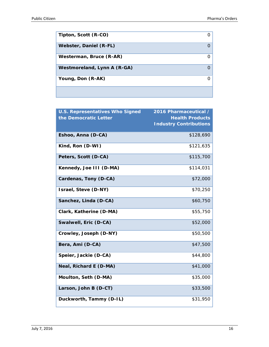| Tipton, Scott (R-CO)        |  |
|-----------------------------|--|
| Webster, Daniel (R-FL)      |  |
| Westerman, Bruce (R-AR)     |  |
| Westmoreland, Lynn A (R-GA) |  |
| Young, Don (R-AK)           |  |
|                             |  |

| <b>U.S. Representatives Who Signed</b><br>the Democratic Letter | 2016 Pharmaceutical /<br><b>Health Products</b><br><b>Industry Contributions</b> |
|-----------------------------------------------------------------|----------------------------------------------------------------------------------|
| Eshoo, Anna (D-CA)                                              | \$128,690                                                                        |
| Kind, Ron (D-WI)                                                | \$121,635                                                                        |
| Peters, Scott (D-CA)                                            | \$115,700                                                                        |
| Kennedy, Joe III (D-MA)                                         | \$114,031                                                                        |
| Cardenas, Tony (D-CA)                                           | \$72,000                                                                         |
| Israel, Steve (D-NY)                                            | \$70,250                                                                         |
| Sanchez, Linda (D-CA)                                           | \$60,750                                                                         |
| Clark, Katherine (D-MA)                                         | \$55,750                                                                         |
| Swalwell, Eric (D-CA)                                           | \$52,000                                                                         |
| Crowley, Joseph (D-NY)                                          | \$50,500                                                                         |
| Bera, Ami (D-CA)                                                | \$47,500                                                                         |
| Speier, Jackie (D-CA)                                           | \$44,800                                                                         |
| Neal, Richard E (D-MA)                                          | \$41,000                                                                         |
| Moulton, Seth (D-MA)                                            | \$35,000                                                                         |
| Larson, John B (D-CT)                                           | \$33,500                                                                         |
| Duckworth, Tammy (D-IL)                                         | \$31,950                                                                         |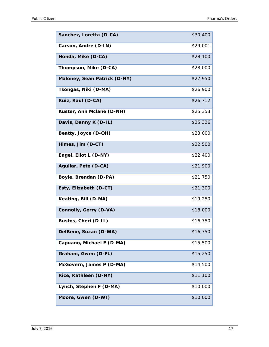| Sanchez, Loretta (D-CA)       | \$30,400 |
|-------------------------------|----------|
| Carson, Andre (D-IN)          | \$29,001 |
| Honda, Mike (D-CA)            | \$28,100 |
| Thompson, Mike (D-CA)         | \$28,000 |
| Maloney, Sean Patrick (D-NY)  | \$27,950 |
| Tsongas, Niki (D-MA)          | \$26,900 |
| Ruiz, Raul (D-CA)             | \$26,712 |
| Kuster, Ann Mclane (D-NH)     | \$25,353 |
| Davis, Danny K (D-IL)         | \$25,326 |
| Beatty, Joyce (D-OH)          | \$23,000 |
| Himes, Jim (D-CT)             | \$22,500 |
| Engel, Eliot L (D-NY)         | \$22,400 |
| Aguilar, Pete (D-CA)          | \$21,900 |
| Boyle, Brendan (D-PA)         | \$21,750 |
| Esty, Elizabeth (D-CT)        | \$21,300 |
| Keating, Bill (D-MA)          | \$19,250 |
| <b>Connolly, Gerry (D-VA)</b> | \$18,000 |
| Bustos, Cheri (D-IL)          | \$16,750 |
| DelBene, Suzan (D-WA)         | \$16,750 |
| Capuano, Michael E (D-MA)     | \$15,500 |
| Graham, Gwen (D-FL)           | \$15,250 |
| McGovern, James P (D-MA)      | \$14,500 |
| Rice, Kathleen (D-NY)         | \$11,100 |
| Lynch, Stephen F (D-MA)       | \$10,000 |
| Moore, Gwen (D-WI)            | \$10,000 |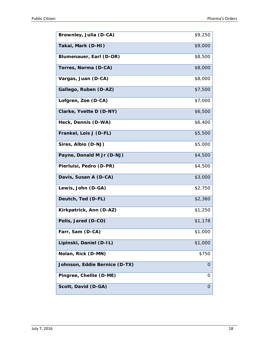| Brownley, Julia (D-CA)        | \$9,250 |
|-------------------------------|---------|
| Takai, Mark (D-HI)            | \$9,000 |
| Blumenauer, Earl (D-OR)       | \$8,500 |
| Torres, Norma (D-CA)          | \$8,000 |
| Vargas, Juan (D-CA)           | \$8,000 |
| Gallego, Ruben (D-AZ)         | \$7,500 |
| Lofgren, Zoe (D-CA)           | \$7,000 |
| Clarke, Yvette D (D-NY)       | \$6,500 |
| Heck, Dennis (D-WA)           | \$6,400 |
| Frankel, Lois J (D-FL)        | \$5,500 |
| Sires, Albio (D-NJ)           | \$5,000 |
| Payne, Donald M Jr (D-NJ)     | \$4,500 |
| Pierluisi, Pedro (D-PR)       | \$4,500 |
| Davis, Susan A (D-CA)         | \$3,000 |
| Lewis, John (D-GA)            | \$2,750 |
| Deutch, Ted (D-FL)            | \$2,360 |
| Kirkpatrick, Ann (D-AZ)       | \$1,250 |
| Polis, Jared (D-CO)           | \$1,178 |
| Farr, Sam (D-CA)              | \$1,000 |
| Lipinski, Daniel (D-IL)       | \$1,000 |
| Nolan, Rick (D-MN)            | \$750   |
| Johnson, Eddie Bernice (D-TX) | O       |
| Pingree, Chellie (D-ME)       | 0       |
| Scott, David (D-GA)           | 0       |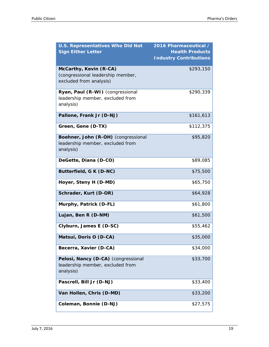| <b>U.S. Representatives Who Did Not</b>                                                | 2016 Pharmaceutical /                                   |
|----------------------------------------------------------------------------------------|---------------------------------------------------------|
| <b>Sign Either Letter</b>                                                              | <b>Health Products</b><br><b>Industry Contributions</b> |
| McCarthy, Kevin (R-CA)<br>(congressional leadership member,<br>excluded from analysis) | \$293,150                                               |
| Ryan, Paul (R-WI) (congressional<br>leadership member, excluded from<br>analysis)      | \$290,339                                               |
| Pallone, Frank Jr (D-NJ)                                                               | \$161,613                                               |
| Green, Gene (D-TX)                                                                     | \$112,375                                               |
| Boehner, John (R-OH) (congressional<br>leadership member, excluded from<br>analysis)   | \$95,820                                                |
| DeGette, Diana (D-CO)                                                                  | \$89,085                                                |
| Butterfield, G K (D-NC)                                                                | \$75,500                                                |
| Hoyer, Steny H (D-MD)                                                                  | \$65,750                                                |
| Schrader, Kurt (D-OR)                                                                  | \$64,928                                                |
| Murphy, Patrick (D-FL)                                                                 | \$61,800                                                |
| Lujan, Ben R (D-NM)                                                                    | \$61,500                                                |
| Clyburn, James E (D-SC)                                                                | \$55,462                                                |
| Matsui, Doris O (D-CA)                                                                 | \$35,000                                                |
| Becerra, Xavier (D-CA)                                                                 | \$34,000                                                |
| Pelosi, Nancy (D-CA) (congressional<br>leadership member, excluded from<br>analysis)   | \$33,700                                                |
| Pascrell, Bill Jr (D-NJ)                                                               | \$33,400                                                |
| Van Hollen, Chris (D-MD)                                                               | \$33,200                                                |
| Coleman, Bonnie (D-NJ)                                                                 | \$27,575                                                |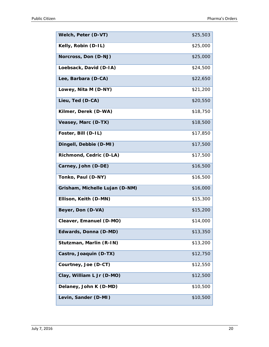| Welch, Peter (D-VT)            | \$25,503 |
|--------------------------------|----------|
| Kelly, Robin (D-IL)            | \$25,000 |
| Norcross, Don (D-NJ)           | \$25,000 |
| Loebsack, David (D-IA)         | \$24,500 |
| Lee, Barbara (D-CA)            | \$22,650 |
| Lowey, Nita M (D-NY)           | \$21,200 |
| Lieu, Ted (D-CA)               | \$20,550 |
| Kilmer, Derek (D-WA)           | \$18,750 |
| Veasey, Marc (D-TX)            | \$18,500 |
| Foster, Bill (D-IL)            | \$17,850 |
| Dingell, Debbie (D-MI)         | \$17,500 |
| Richmond, Cedric (D-LA)        | \$17,500 |
| Carney, John (D-DE)            | \$16,500 |
| Tonko, Paul (D-NY)             | \$16,500 |
| Grisham, Michelle Lujan (D-NM) | \$16,000 |
| Ellison, Keith (D-MN)          | \$15,300 |
| Beyer, Don (D-VA)              | \$15,200 |
| Cleaver, Emanuel (D-MO)        | \$14,000 |
| Edwards, Donna (D-MD)          | \$13,350 |
| Stutzman, Marlin (R-IN)        | \$13,200 |
| Castro, Joaquin (D-TX)         | \$12,750 |
| Courtney, Joe (D-CT)           | \$12,550 |
| Clay, William L Jr (D-MO)      | \$12,500 |
| Delaney, John K (D-MD)         | \$10,500 |
| Levin, Sander (D-MI)           | \$10,500 |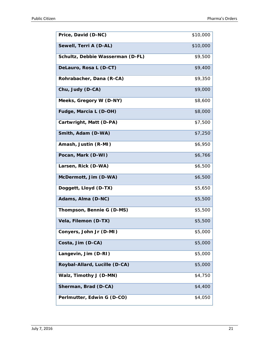| Price, David (D-NC)              | \$10,000 |
|----------------------------------|----------|
| Sewell, Terri A (D-AL)           | \$10,000 |
| Schultz, Debbie Wasserman (D-FL) | \$9,500  |
| DeLauro, Rosa L (D-CT)           | \$9,400  |
| Rohrabacher, Dana (R-CA)         | \$9,350  |
| Chu, Judy (D-CA)                 | \$9,000  |
| Meeks, Gregory W (D-NY)          | \$8,600  |
| Fudge, Marcia L (D-OH)           | \$8,000  |
| Cartwright, Matt (D-PA)          | \$7,500  |
| Smith, Adam (D-WA)               | \$7,250  |
| Amash, Justin (R-MI)             | \$6,950  |
| Pocan, Mark (D-WI)               | \$6,766  |
| Larsen, Rick (D-WA)              | \$6,500  |
| McDermott, Jim (D-WA)            | \$6,500  |
| Doggett, Lloyd (D-TX)            | \$5,650  |
| Adams, Alma (D-NC)               | \$5,500  |
| Thompson, Bennie G (D-MS)        | \$5,500  |
| Vela, Filemon (D-TX)             | \$5,500  |
| Conyers, John Jr (D-MI)          | \$5,000  |
| Costa, Jim (D-CA)                | \$5,000  |
| Langevin, Jim (D-RI)             | \$5,000  |
| Roybal-Allard, Lucille (D-CA)    | \$5,000  |
| Walz, Timothy J (D-MN)           | \$4,750  |
| Sherman, Brad (D-CA)             | \$4,400  |
| Perlmutter, Edwin G (D-CO)       | \$4,050  |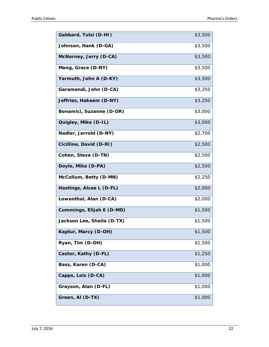| Gabbard, Tulsi (D-HI)      | \$3,500 |
|----------------------------|---------|
| Johnson, Hank (D-GA)       | \$3,500 |
| McNerney, Jerry (D-CA)     | \$3,500 |
| Meng, Grace (D-NY)         | \$3,500 |
| Yarmuth, John A (D-KY)     | \$3,500 |
| Garamendi, John (D-CA)     | \$3,250 |
| Jeffries, Hakeem (D-NY)    | \$3,250 |
| Bonamici, Suzanne (D-OR)   | \$3,000 |
| Quigley, Mike (D-IL)       | \$3,000 |
| Nadler, Jerrold (D-NY)     | \$2,700 |
| Cicilline, David (D-RI)    | \$2,500 |
| Cohen, Steve (D-TN)        | \$2,500 |
| Doyle, Mike (D-PA)         | \$2,500 |
| McCollum, Betty (D-MN)     | \$2,250 |
| Hastings, Alcee L (D-FL)   | \$2,000 |
| Lowenthal, Alan (D-CA)     | \$2,000 |
| Cummings, Elijah E (D-MD)  | \$1,500 |
| Jackson Lee, Sheila (D-TX) | \$1,500 |
| Kaptur, Marcy (D-OH)       | \$1,500 |
| Ryan, Tim (D-OH)           | \$1,500 |
| Castor, Kathy (D-FL)       | \$1,250 |
| Bass, Karen (D-CA)         | \$1,000 |
| Capps, Lois (D-CA)         | \$1,000 |
| Grayson, Alan (D-FL)       | \$1,000 |
| Green, AI (D-TX)           | \$1,000 |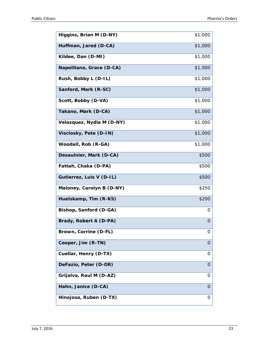| Higgins, Brian M (D-NY)   | \$1,000  |
|---------------------------|----------|
| Huffman, Jared (D-CA)     | \$1,000  |
| Kildee, Dan (D-MI)        | \$1,000  |
| Napolitano, Grace (D-CA)  | \$1,000  |
| Rush, Bobby L (D-IL)      | \$1,000  |
| Sanford, Mark (R-SC)      | \$1,000  |
| Scott, Bobby (D-VA)       | \$1,000  |
| Takano, Mark (D-CA)       | \$1,000  |
| Velazquez, Nydia M (D-NY) | \$1,000  |
| Visclosky, Pete (D-IN)    | \$1,000  |
| Woodall, Rob (R-GA)       | \$1,000  |
| Desaulnier, Mark (D-CA)   | \$500    |
| Fattah, Chaka (D-PA)      | \$500    |
| Gutierrez, Luis V (D-IL)  | \$500    |
| Maloney, Carolyn B (D-NY) | \$250    |
| Huelskamp, Tim (R-KS)     | \$200    |
| Bishop, Sanford (D-GA)    | 0        |
| Brady, Robert A (D-PA)    | 0        |
| Brown, Corrine (D-FL)     | 0        |
| Cooper, Jim (R-TN)        | $\Omega$ |
| Cuellar, Henry (D-TX)     | 0        |
| DeFazio, Peter (D-OR)     | O        |
| Grijalva, Raul M (D-AZ)   | 0        |
| Hahn, Janice (D-CA)       | 0        |
| Hinojosa, Ruben (D-TX)    | 0        |